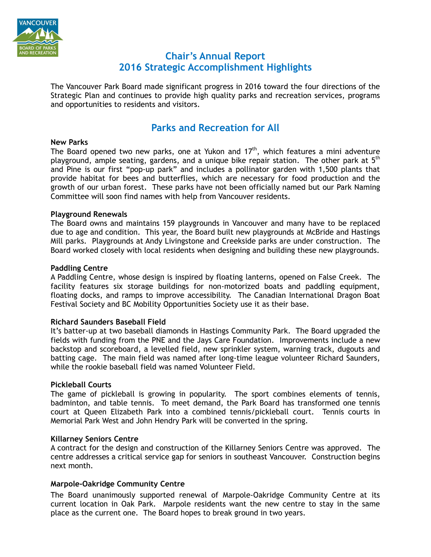

# **Chair's Annual Report 2016 Strategic Accomplishment Highlights**

The Vancouver Park Board made significant progress in 2016 toward the four directions of the Strategic Plan and continues to provide high quality parks and recreation services, programs and opportunities to residents and visitors.

# **Parks and Recreation for All**

## **New Parks**

The Board opened two new parks, one at Yukon and  $17<sup>th</sup>$ , which features a mini adventure playground, ample seating, gardens, and a unique bike repair station. The other park at 5<sup>th</sup> and Pine is our first "pop-up park" and includes a pollinator garden with 1,500 plants that provide habitat for bees and butterflies, which are necessary for food production and the growth of our urban forest. These parks have not been officially named but our Park Naming Committee will soon find names with help from Vancouver residents.

## **Playground Renewals**

The Board owns and maintains 159 playgrounds in Vancouver and many have to be replaced due to age and condition. This year, the Board built new playgrounds at McBride and Hastings Mill parks. Playgrounds at Andy Livingstone and Creekside parks are under construction. The Board worked closely with local residents when designing and building these new playgrounds.

## **Paddling Centre**

A Paddling Centre, whose design is inspired by floating lanterns, opened on False Creek. The facility features six storage buildings for non-motorized boats and paddling equipment, floating docks, and ramps to improve accessibility. The Canadian International Dragon Boat Festival Society and BC Mobility Opportunities Society use it as their base.

## **Richard Saunders Baseball Field**

It's batter-up at two baseball diamonds in Hastings Community Park. The Board upgraded the fields with funding from the PNE and the Jays Care Foundation. Improvements include a new backstop and scoreboard, a levelled field, new sprinkler system, warning track, dugouts and batting cage. The main field was named after long-time league volunteer Richard Saunders, while the rookie baseball field was named Volunteer Field.

## **Pickleball Courts**

The game of pickleball is growing in popularity. The sport combines elements of tennis, badminton, and table tennis. To meet demand, the Park Board has transformed one tennis court at Queen Elizabeth Park into a combined tennis/pickleball court. Tennis courts in Memorial Park West and John Hendry Park will be converted in the spring.

## **Killarney Seniors Centre**

A contract for the design and construction of the Killarney Seniors Centre was approved. The centre addresses a critical service gap for seniors in southeast Vancouver. Construction begins next month.

## **Marpole-Oakridge Community Centre**

The Board unanimously supported renewal of Marpole-Oakridge Community Centre at its current location in Oak Park. Marpole residents want the new centre to stay in the same place as the current one. The Board hopes to break ground in two years.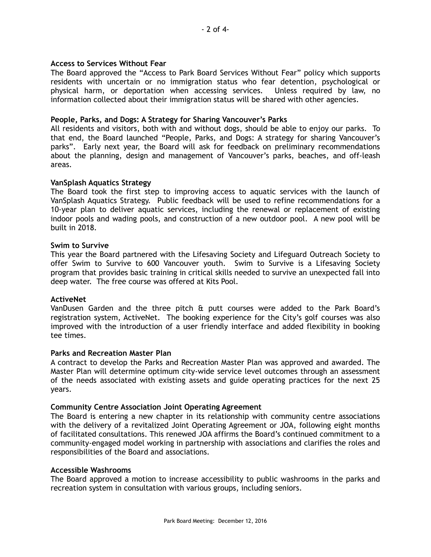## **Access to Services Without Fear**

The Board approved the "Access to Park Board Services Without Fear" policy which supports residents with uncertain or no immigration status who fear detention, psychological or physical harm, or deportation when accessing services. Unless required by law, no information collected about their immigration status will be shared with other agencies.

## **People, Parks, and Dogs: A Strategy for Sharing Vancouver's Parks**

All residents and visitors, both with and without dogs, should be able to enjoy our parks. To that end, the Board launched "People, Parks, and Dogs: A strategy for sharing Vancouver's parks". Early next year, the Board will ask for feedback on preliminary recommendations about the planning, design and management of Vancouver's parks, beaches, and off-leash areas.

## **VanSplash Aquatics Strategy**

The Board took the first step to improving access to aquatic services with the launch of VanSplash Aquatics Strategy. Public feedback will be used to refine recommendations for a 10-year plan to deliver aquatic services, including the renewal or replacement of existing indoor pools and wading pools, and construction of a new outdoor pool. A new pool will be built in 2018.

## **Swim to Survive**

This year the Board partnered with the Lifesaving Society and Lifeguard Outreach Society to offer Swim to Survive to 600 Vancouver youth. Swim to Survive is a Lifesaving Society program that provides basic training in critical skills needed to survive an unexpected fall into deep water. The free course was offered at Kits Pool.

## **ActiveNet**

VanDusen Garden and the three pitch & putt courses were added to the Park Board's registration system, ActiveNet. The booking experience for the City's golf courses was also improved with the introduction of a user friendly interface and added flexibility in booking tee times.

## **Parks and Recreation Master Plan**

A contract to develop the Parks and Recreation Master Plan was approved and awarded. The Master Plan will determine optimum city-wide service level outcomes through an assessment of the needs associated with existing assets and guide operating practices for the next 25 years.

## **Community Centre Association Joint Operating Agreement**

The Board is entering a new chapter in its relationship with community centre associations with the delivery of a revitalized Joint Operating Agreement or JOA, following eight months of facilitated consultations. This renewed JOA affirms the Board's continued commitment to a community-engaged model working in partnership with associations and clarifies the roles and responsibilities of the Board and associations.

## **Accessible Washrooms**

The Board approved a motion to increase accessibility to public washrooms in the parks and recreation system in consultation with various groups, including seniors.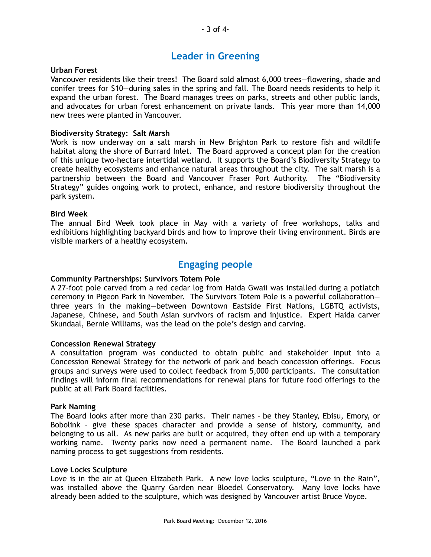# **Leader in Greening**

## **Urban Forest**

Vancouver residents like their trees! The Board sold almost 6,000 trees—flowering, shade and conifer trees for \$10—during sales in the spring and fall. The Board needs residents to help it expand the urban forest. The Board manages trees on parks, streets and other public lands, and advocates for urban forest enhancement on private lands. This year more than 14,000 new trees were planted in Vancouver.

## **Biodiversity Strategy: Salt Marsh**

Work is now underway on a salt marsh in New Brighton Park to restore fish and wildlife habitat along the shore of Burrard Inlet. The Board approved a concept plan for the creation of this unique two-hectare intertidal wetland. It supports the Board's Biodiversity Strategy to create healthy ecosystems and enhance natural areas throughout the city. The salt marsh is a partnership between the Board and Vancouver Fraser Port Authority. The "Biodiversity Strategy" guides ongoing work to protect, enhance, and restore biodiversity throughout the park system.

## **Bird Week**

The annual Bird Week took place in May with a variety of free workshops, talks and exhibitions highlighting backyard birds and how to improve their living environment. Birds are visible markers of a healthy ecosystem.

# **Engaging people**

## **Community Partnerships: Survivors Totem Pole**

A 27-foot pole carved from a red cedar log from Haida Gwaii was installed during a potlatch ceremony in Pigeon Park in November. The Survivors Totem Pole is a powerful collaboration three years in the making—between Downtown Eastside First Nations, LGBTQ activists, Japanese, Chinese, and South Asian survivors of racism and injustice. Expert Haida carver Skundaal, Bernie Williams, was the lead on the pole's design and carving.

## **Concession Renewal Strategy**

A consultation program was conducted to obtain public and stakeholder input into a Concession Renewal Strategy for the network of park and beach concession offerings. Focus groups and surveys were used to collect feedback from 5,000 participants. The consultation findings will inform final recommendations for renewal plans for future food offerings to the public at all Park Board facilities.

## **Park Naming**

The Board looks after more than 230 parks. Their names – be they Stanley, Ebisu, Emory, or Bobolink – give these spaces character and provide a sense of history, community, and belonging to us all. As new parks are built or acquired, they often end up with a temporary working name. Twenty parks now need a permanent name. The Board launched a park naming process to get suggestions from residents.

## **Love Locks Sculpture**

Love is in the air at Queen Elizabeth Park. A new love locks sculpture, "Love in the Rain", was installed above the Quarry Garden near Bloedel Conservatory. Many love locks have already been added to the sculpture, which was designed by Vancouver artist Bruce Voyce.